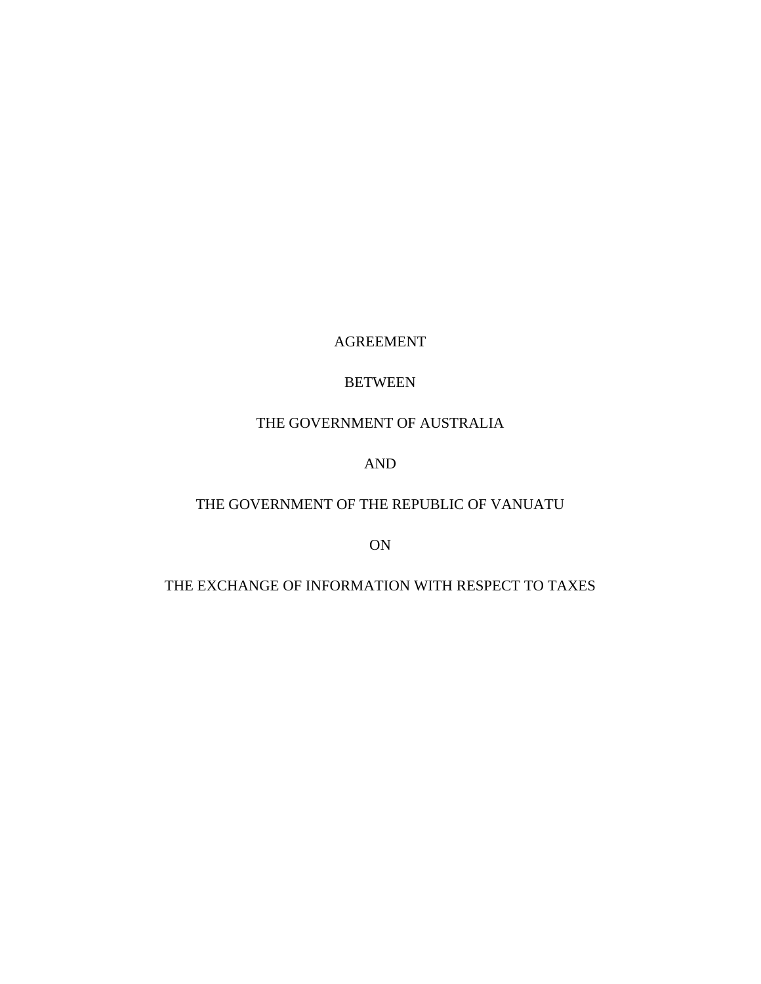# AGREEMENT

# BETWEEN

# THE GOVERNMENT OF AUSTRALIA

# AND

# THE GOVERNMENT OF THE REPUBLIC OF VANUATU

ON

# THE EXCHANGE OF INFORMATION WITH RESPECT TO TAXES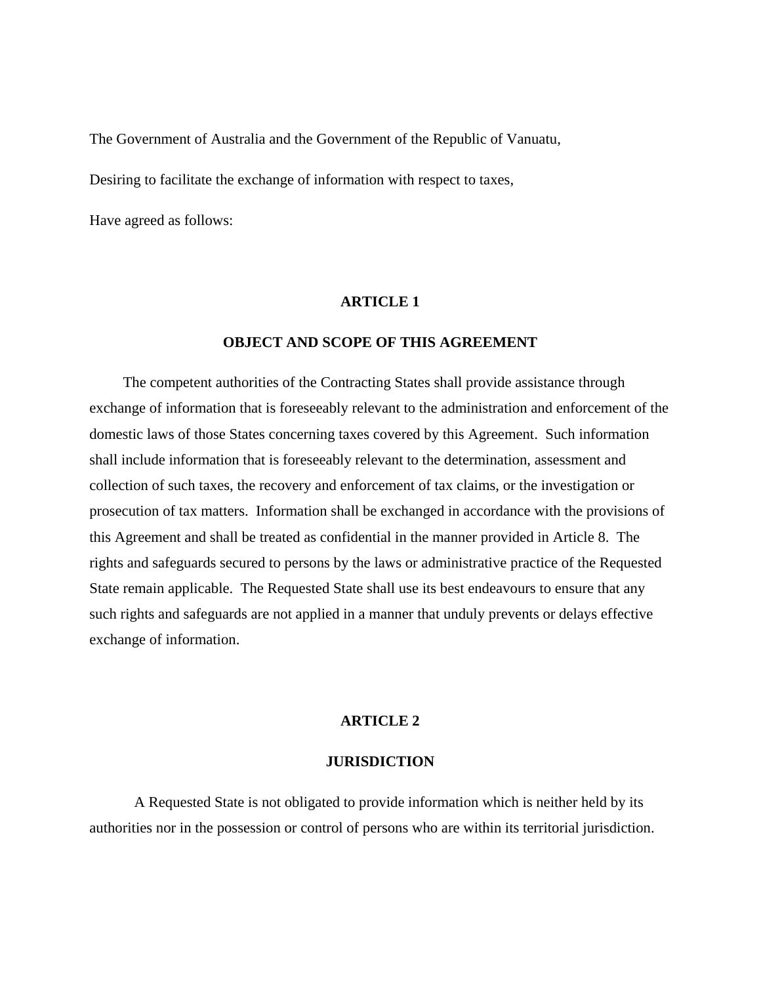The Government of Australia and the Government of the Republic of Vanuatu,

Desiring to facilitate the exchange of information with respect to taxes,

Have agreed as follows:

### **ARTICLE 1**

### **OBJECT AND SCOPE OF THIS AGREEMENT**

 The competent authorities of the Contracting States shall provide assistance through exchange of information that is foreseeably relevant to the administration and enforcement of the domestic laws of those States concerning taxes covered by this Agreement. Such information shall include information that is foreseeably relevant to the determination, assessment and collection of such taxes, the recovery and enforcement of tax claims, or the investigation or prosecution of tax matters. Information shall be exchanged in accordance with the provisions of this Agreement and shall be treated as confidential in the manner provided in Article 8. The rights and safeguards secured to persons by the laws or administrative practice of the Requested State remain applicable. The Requested State shall use its best endeavours to ensure that any such rights and safeguards are not applied in a manner that unduly prevents or delays effective exchange of information.

### **ARTICLE 2**

#### **JURISDICTION**

A Requested State is not obligated to provide information which is neither held by its authorities nor in the possession or control of persons who are within its territorial jurisdiction.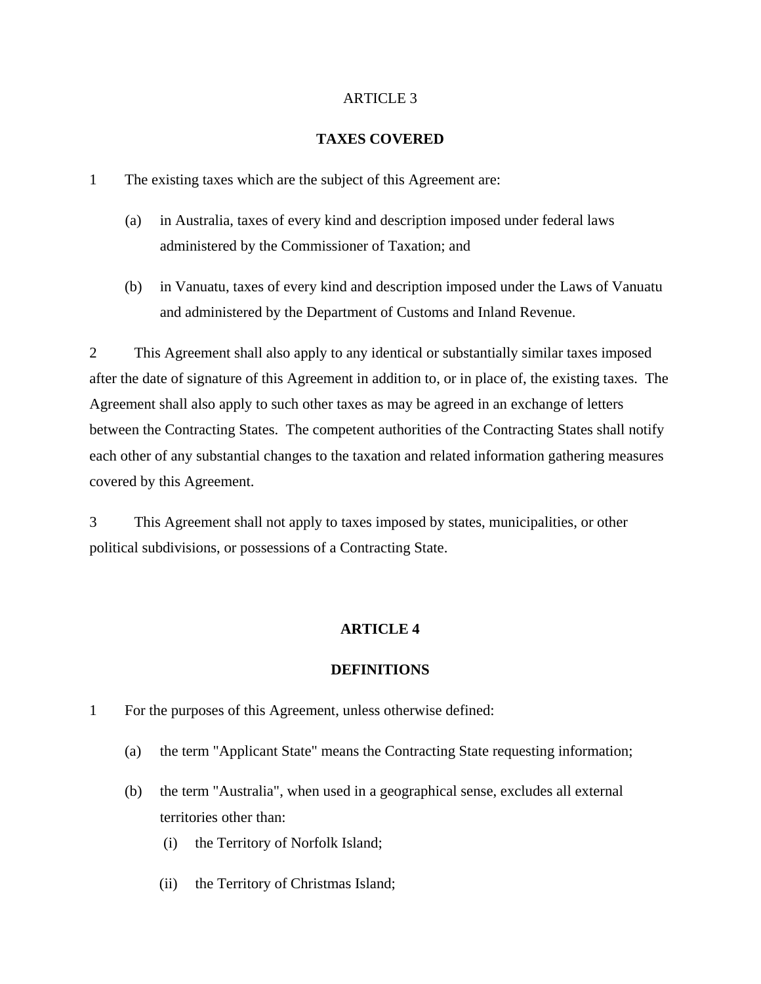# ARTICLE 3

## **TAXES COVERED**

- 1 The existing taxes which are the subject of this Agreement are:
	- (a) in Australia, taxes of every kind and description imposed under federal laws administered by the Commissioner of Taxation; and
	- (b) in Vanuatu, taxes of every kind and description imposed under the Laws of Vanuatu and administered by the Department of Customs and Inland Revenue.

2 This Agreement shall also apply to any identical or substantially similar taxes imposed after the date of signature of this Agreement in addition to, or in place of, the existing taxes. The Agreement shall also apply to such other taxes as may be agreed in an exchange of letters between the Contracting States. The competent authorities of the Contracting States shall notify each other of any substantial changes to the taxation and related information gathering measures covered by this Agreement.

3 This Agreement shall not apply to taxes imposed by states, municipalities, or other political subdivisions, or possessions of a Contracting State.

# **ARTICLE 4**

#### **DEFINITIONS**

- 1 For the purposes of this Agreement, unless otherwise defined:
	- (a) the term "Applicant State" means the Contracting State requesting information;
	- (b) the term "Australia", when used in a geographical sense, excludes all external territories other than:
		- (i) the Territory of Norfolk Island;
		- (ii) the Territory of Christmas Island;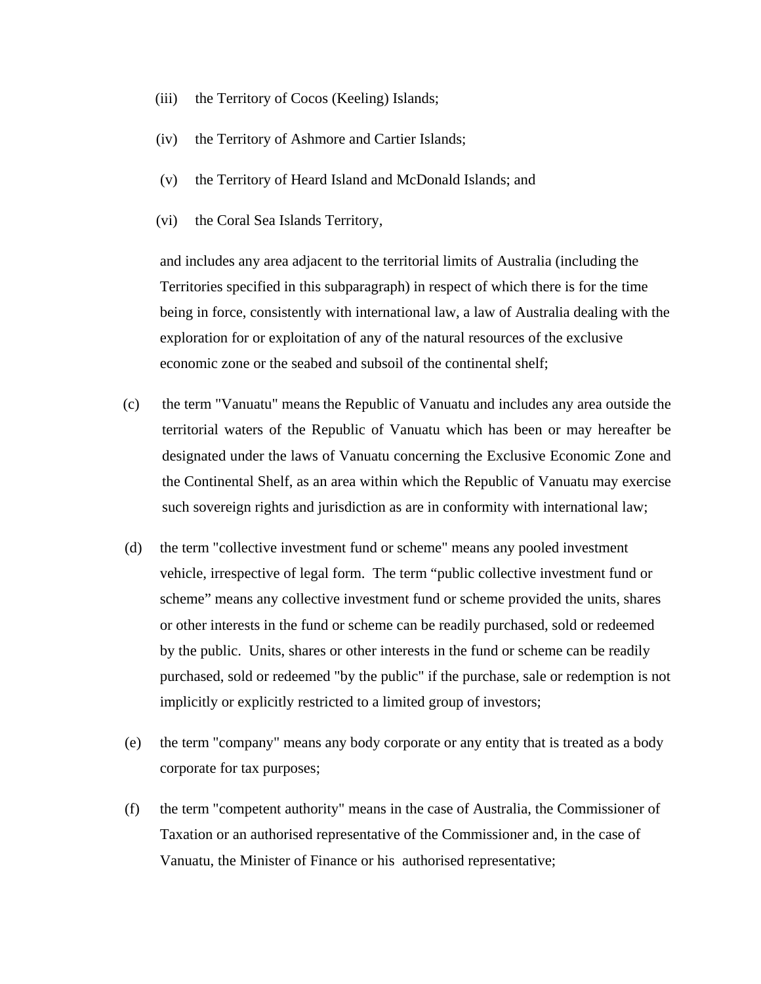- (iii) the Territory of Cocos (Keeling) Islands;
- (iv) the Territory of Ashmore and Cartier Islands;
- (v) the Territory of Heard Island and McDonald Islands; and
- (vi) the Coral Sea Islands Territory,

and includes any area adjacent to the territorial limits of Australia (including the Territories specified in this subparagraph) in respect of which there is for the time being in force, consistently with international law, a law of Australia dealing with the exploration for or exploitation of any of the natural resources of the exclusive economic zone or the seabed and subsoil of the continental shelf;

- (c) the term "Vanuatu" means the Republic of Vanuatu and includes any area outside the territorial waters of the Republic of Vanuatu which has been or may hereafter be designated under the laws of Vanuatu concerning the Exclusive Economic Zone and the Continental Shelf, as an area within which the Republic of Vanuatu may exercise such sovereign rights and jurisdiction as are in conformity with international law;
- (d) the term "collective investment fund or scheme" means any pooled investment vehicle, irrespective of legal form. The term "public collective investment fund or scheme" means any collective investment fund or scheme provided the units, shares or other interests in the fund or scheme can be readily purchased, sold or redeemed by the public. Units, shares or other interests in the fund or scheme can be readily purchased, sold or redeemed "by the public" if the purchase, sale or redemption is not implicitly or explicitly restricted to a limited group of investors;
- (e) the term "company" means any body corporate or any entity that is treated as a body corporate for tax purposes;
- (f) the term "competent authority" means in the case of Australia, the Commissioner of Taxation or an authorised representative of the Commissioner and, in the case of Vanuatu, the Minister of Finance or his authorised representative;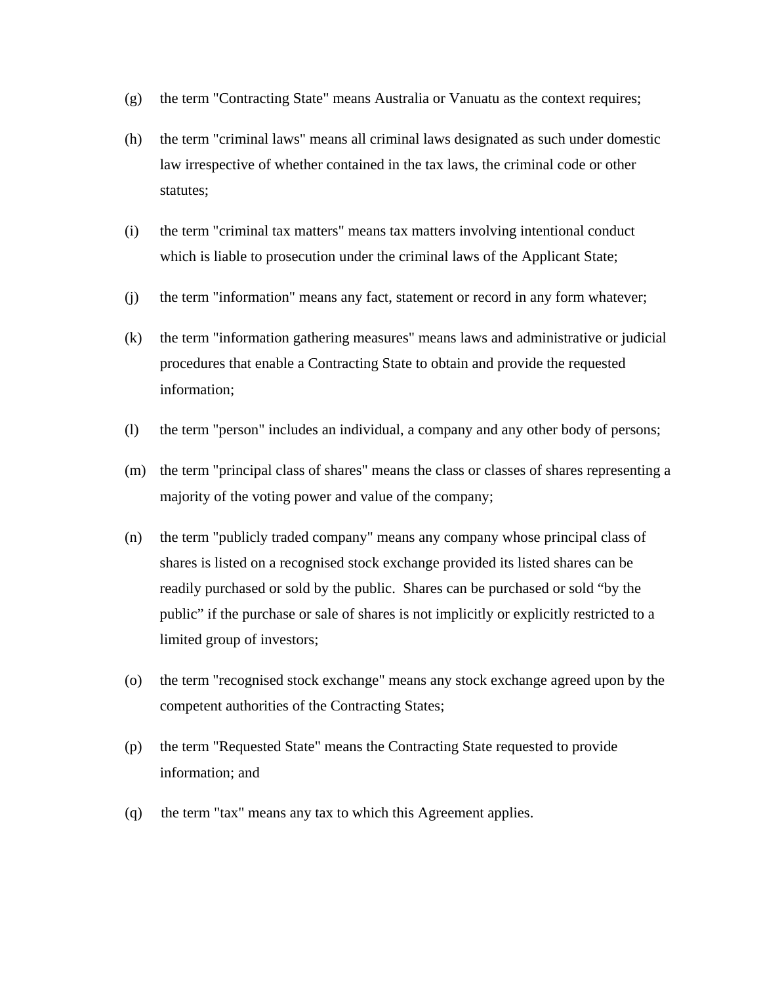- (g) the term "Contracting State" means Australia or Vanuatu as the context requires;
- (h) the term "criminal laws" means all criminal laws designated as such under domestic law irrespective of whether contained in the tax laws, the criminal code or other statutes;
- (i) the term "criminal tax matters" means tax matters involving intentional conduct which is liable to prosecution under the criminal laws of the Applicant State;
- (j) the term "information" means any fact, statement or record in any form whatever;
- (k) the term "information gathering measures" means laws and administrative or judicial procedures that enable a Contracting State to obtain and provide the requested information;
- (l) the term "person" includes an individual, a company and any other body of persons;
- (m) the term "principal class of shares" means the class or classes of shares representing a majority of the voting power and value of the company;
- (n) the term "publicly traded company" means any company whose principal class of shares is listed on a recognised stock exchange provided its listed shares can be readily purchased or sold by the public. Shares can be purchased or sold "by the public" if the purchase or sale of shares is not implicitly or explicitly restricted to a limited group of investors;
- (o) the term "recognised stock exchange" means any stock exchange agreed upon by the competent authorities of the Contracting States;
- (p) the term "Requested State" means the Contracting State requested to provide information; and
- (q) the term "tax" means any tax to which this Agreement applies.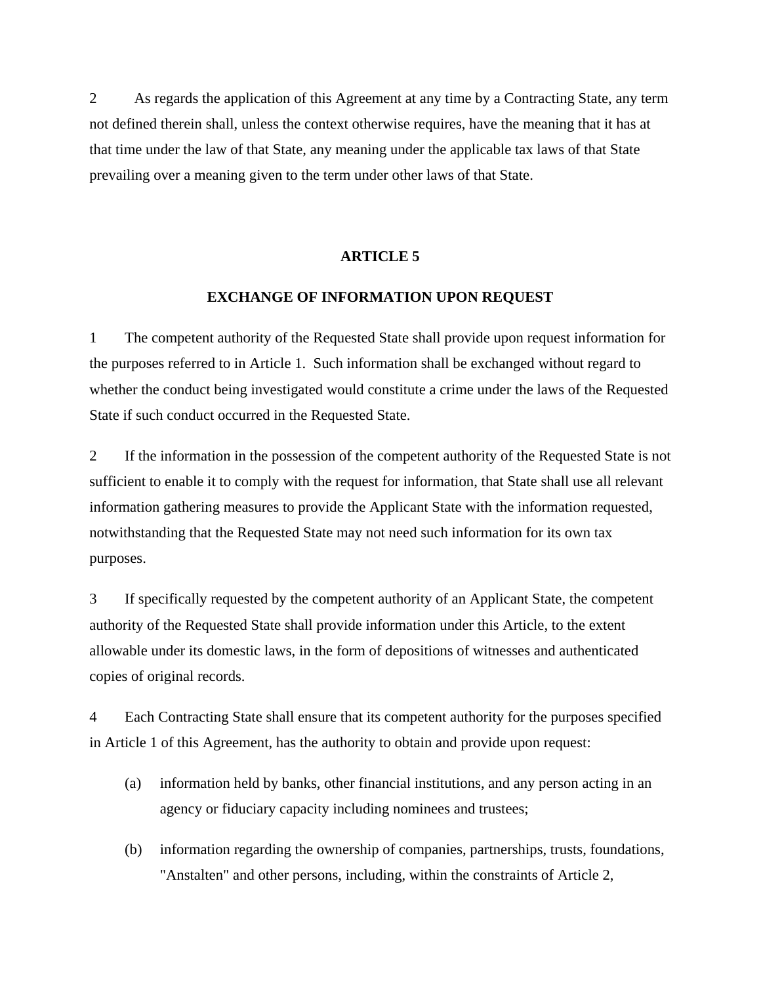2 As regards the application of this Agreement at any time by a Contracting State, any term not defined therein shall, unless the context otherwise requires, have the meaning that it has at that time under the law of that State, any meaning under the applicable tax laws of that State prevailing over a meaning given to the term under other laws of that State.

### **ARTICLE 5**

#### **EXCHANGE OF INFORMATION UPON REQUEST**

1 The competent authority of the Requested State shall provide upon request information for the purposes referred to in Article 1. Such information shall be exchanged without regard to whether the conduct being investigated would constitute a crime under the laws of the Requested State if such conduct occurred in the Requested State.

2 If the information in the possession of the competent authority of the Requested State is not sufficient to enable it to comply with the request for information, that State shall use all relevant information gathering measures to provide the Applicant State with the information requested, notwithstanding that the Requested State may not need such information for its own tax purposes.

3 If specifically requested by the competent authority of an Applicant State, the competent authority of the Requested State shall provide information under this Article, to the extent allowable under its domestic laws, in the form of depositions of witnesses and authenticated copies of original records.

4 Each Contracting State shall ensure that its competent authority for the purposes specified in Article 1 of this Agreement, has the authority to obtain and provide upon request:

- (a) information held by banks, other financial institutions, and any person acting in an agency or fiduciary capacity including nominees and trustees;
- (b) information regarding the ownership of companies, partnerships, trusts, foundations, "Anstalten" and other persons, including, within the constraints of Article 2,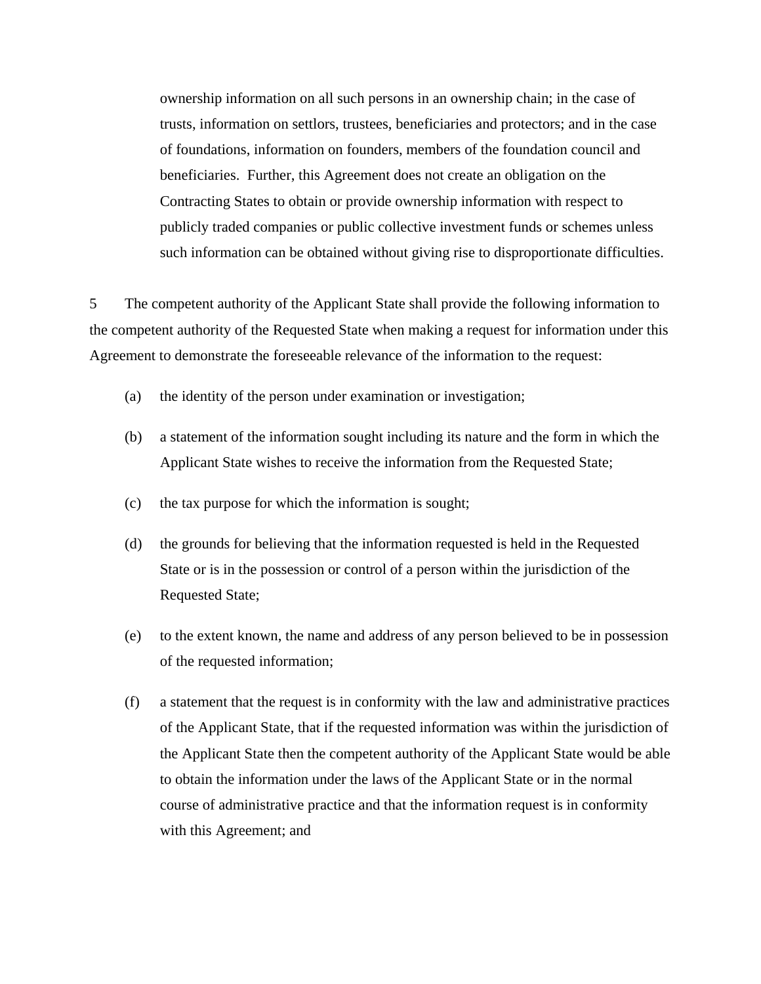ownership information on all such persons in an ownership chain; in the case of trusts, information on settlors, trustees, beneficiaries and protectors; and in the case of foundations, information on founders, members of the foundation council and beneficiaries. Further, this Agreement does not create an obligation on the Contracting States to obtain or provide ownership information with respect to publicly traded companies or public collective investment funds or schemes unless such information can be obtained without giving rise to disproportionate difficulties.

5 The competent authority of the Applicant State shall provide the following information to the competent authority of the Requested State when making a request for information under this Agreement to demonstrate the foreseeable relevance of the information to the request:

- (a) the identity of the person under examination or investigation;
- (b) a statement of the information sought including its nature and the form in which the Applicant State wishes to receive the information from the Requested State;
- (c) the tax purpose for which the information is sought;
- (d) the grounds for believing that the information requested is held in the Requested State or is in the possession or control of a person within the jurisdiction of the Requested State;
- (e) to the extent known, the name and address of any person believed to be in possession of the requested information;
- (f) a statement that the request is in conformity with the law and administrative practices of the Applicant State, that if the requested information was within the jurisdiction of the Applicant State then the competent authority of the Applicant State would be able to obtain the information under the laws of the Applicant State or in the normal course of administrative practice and that the information request is in conformity with this Agreement; and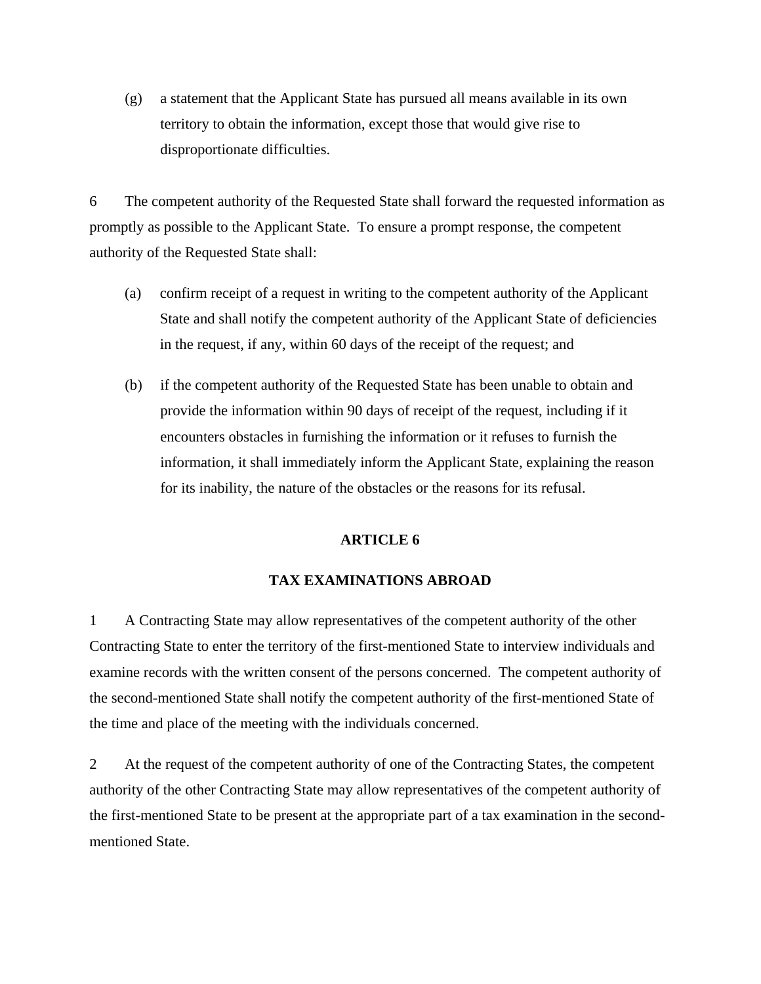(g) a statement that the Applicant State has pursued all means available in its own territory to obtain the information, except those that would give rise to disproportionate difficulties.

6 The competent authority of the Requested State shall forward the requested information as promptly as possible to the Applicant State. To ensure a prompt response, the competent authority of the Requested State shall:

- (a) confirm receipt of a request in writing to the competent authority of the Applicant State and shall notify the competent authority of the Applicant State of deficiencies in the request, if any, within 60 days of the receipt of the request; and
- (b) if the competent authority of the Requested State has been unable to obtain and provide the information within 90 days of receipt of the request, including if it encounters obstacles in furnishing the information or it refuses to furnish the information, it shall immediately inform the Applicant State, explaining the reason for its inability, the nature of the obstacles or the reasons for its refusal.

# **ARTICLE 6**

### **TAX EXAMINATIONS ABROAD**

1 A Contracting State may allow representatives of the competent authority of the other Contracting State to enter the territory of the first-mentioned State to interview individuals and examine records with the written consent of the persons concerned. The competent authority of the second-mentioned State shall notify the competent authority of the first-mentioned State of the time and place of the meeting with the individuals concerned.

2 At the request of the competent authority of one of the Contracting States, the competent authority of the other Contracting State may allow representatives of the competent authority of the first-mentioned State to be present at the appropriate part of a tax examination in the secondmentioned State.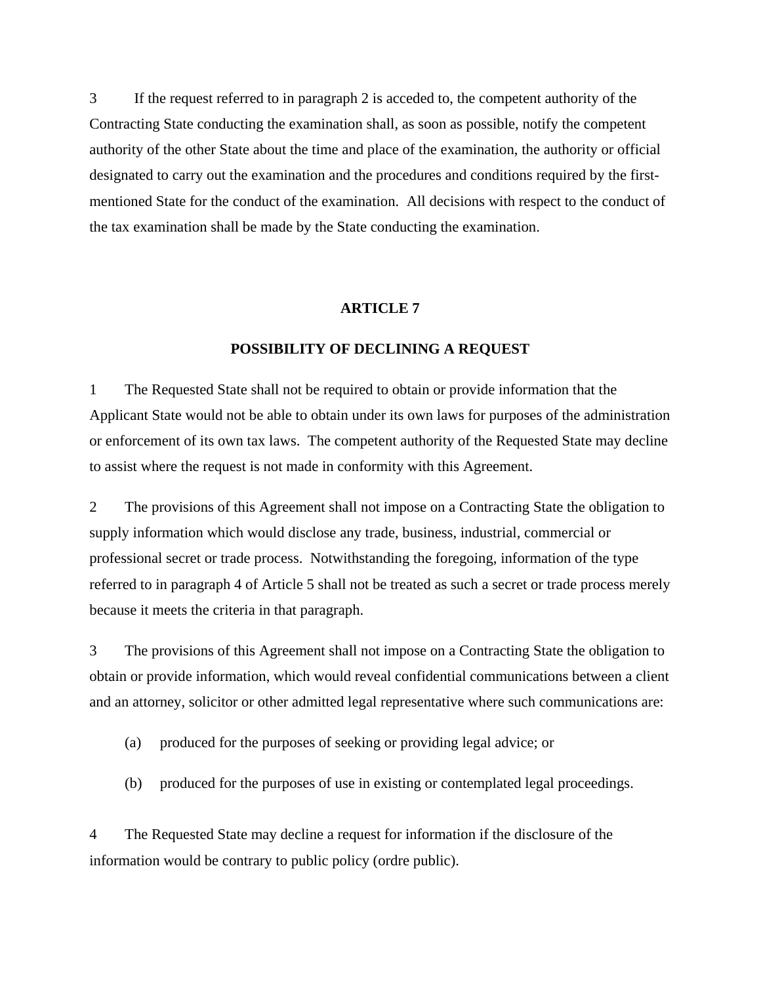3 If the request referred to in paragraph 2 is acceded to, the competent authority of the Contracting State conducting the examination shall, as soon as possible, notify the competent authority of the other State about the time and place of the examination, the authority or official designated to carry out the examination and the procedures and conditions required by the firstmentioned State for the conduct of the examination. All decisions with respect to the conduct of the tax examination shall be made by the State conducting the examination.

#### **ARTICLE 7**

# **POSSIBILITY OF DECLINING A REQUEST**

1 The Requested State shall not be required to obtain or provide information that the Applicant State would not be able to obtain under its own laws for purposes of the administration or enforcement of its own tax laws. The competent authority of the Requested State may decline to assist where the request is not made in conformity with this Agreement.

2 The provisions of this Agreement shall not impose on a Contracting State the obligation to supply information which would disclose any trade, business, industrial, commercial or professional secret or trade process. Notwithstanding the foregoing, information of the type referred to in paragraph 4 of Article 5 shall not be treated as such a secret or trade process merely because it meets the criteria in that paragraph.

3 The provisions of this Agreement shall not impose on a Contracting State the obligation to obtain or provide information, which would reveal confidential communications between a client and an attorney, solicitor or other admitted legal representative where such communications are:

- (a) produced for the purposes of seeking or providing legal advice; or
- (b) produced for the purposes of use in existing or contemplated legal proceedings.

4 The Requested State may decline a request for information if the disclosure of the information would be contrary to public policy (ordre public).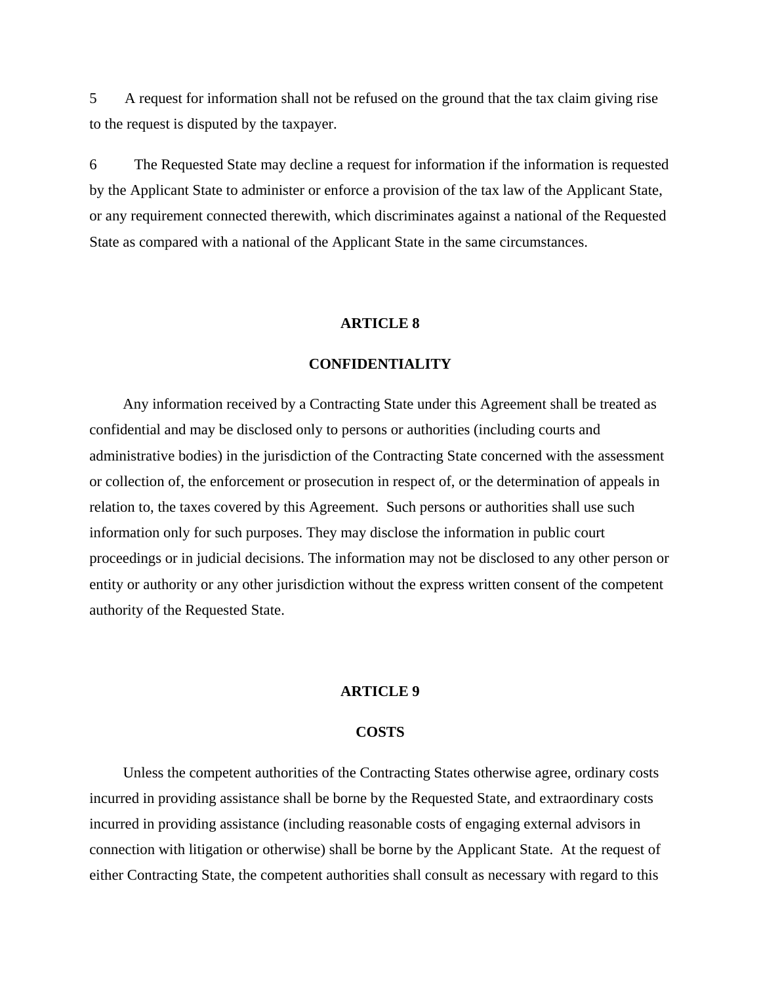5 A request for information shall not be refused on the ground that the tax claim giving rise to the request is disputed by the taxpayer.

6 The Requested State may decline a request for information if the information is requested by the Applicant State to administer or enforce a provision of the tax law of the Applicant State, or any requirement connected therewith, which discriminates against a national of the Requested State as compared with a national of the Applicant State in the same circumstances.

### **ARTICLE 8**

#### **CONFIDENTIALITY**

 Any information received by a Contracting State under this Agreement shall be treated as confidential and may be disclosed only to persons or authorities (including courts and administrative bodies) in the jurisdiction of the Contracting State concerned with the assessment or collection of, the enforcement or prosecution in respect of, or the determination of appeals in relation to, the taxes covered by this Agreement. Such persons or authorities shall use such information only for such purposes. They may disclose the information in public court proceedings or in judicial decisions. The information may not be disclosed to any other person or entity or authority or any other jurisdiction without the express written consent of the competent authority of the Requested State.

# **ARTICLE 9**

#### **COSTS**

 Unless the competent authorities of the Contracting States otherwise agree, ordinary costs incurred in providing assistance shall be borne by the Requested State, and extraordinary costs incurred in providing assistance (including reasonable costs of engaging external advisors in connection with litigation or otherwise) shall be borne by the Applicant State. At the request of either Contracting State, the competent authorities shall consult as necessary with regard to this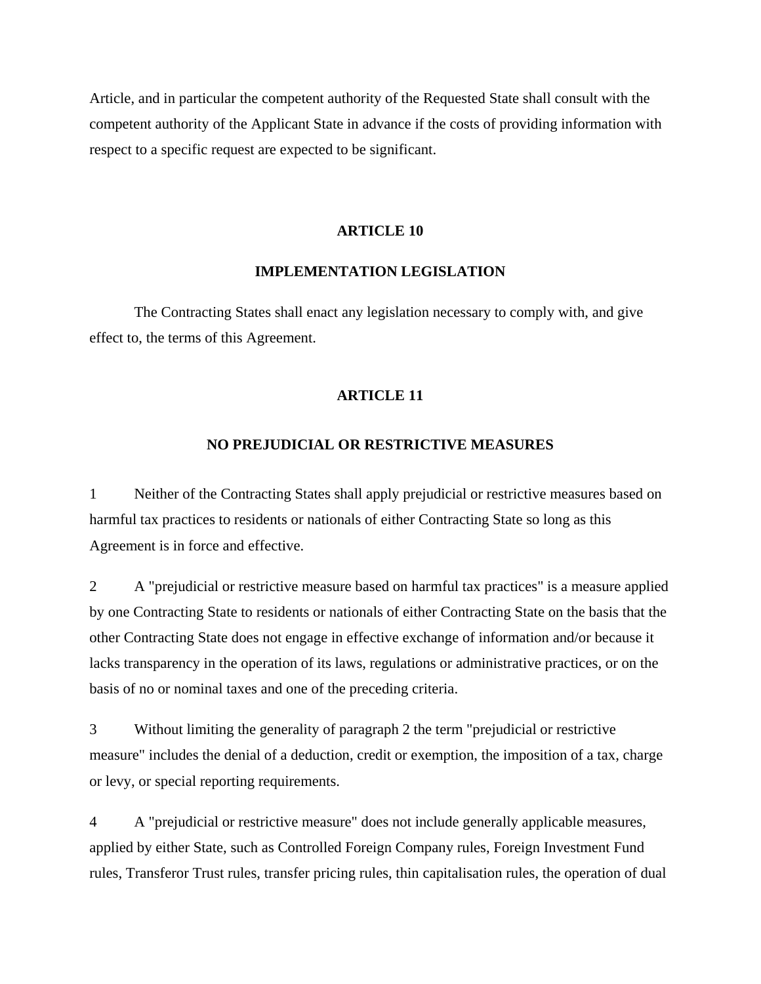Article, and in particular the competent authority of the Requested State shall consult with the competent authority of the Applicant State in advance if the costs of providing information with respect to a specific request are expected to be significant.

### **ARTICLE 10**

#### **IMPLEMENTATION LEGISLATION**

 The Contracting States shall enact any legislation necessary to comply with, and give effect to, the terms of this Agreement.

### **ARTICLE 11**

# **NO PREJUDICIAL OR RESTRICTIVE MEASURES**

1 Neither of the Contracting States shall apply prejudicial or restrictive measures based on harmful tax practices to residents or nationals of either Contracting State so long as this Agreement is in force and effective.

2 A "prejudicial or restrictive measure based on harmful tax practices" is a measure applied by one Contracting State to residents or nationals of either Contracting State on the basis that the other Contracting State does not engage in effective exchange of information and/or because it lacks transparency in the operation of its laws, regulations or administrative practices, or on the basis of no or nominal taxes and one of the preceding criteria.

3 Without limiting the generality of paragraph 2 the term "prejudicial or restrictive measure" includes the denial of a deduction, credit or exemption, the imposition of a tax, charge or levy, or special reporting requirements.

4 A "prejudicial or restrictive measure" does not include generally applicable measures, applied by either State, such as Controlled Foreign Company rules, Foreign Investment Fund rules, Transferor Trust rules, transfer pricing rules, thin capitalisation rules, the operation of dual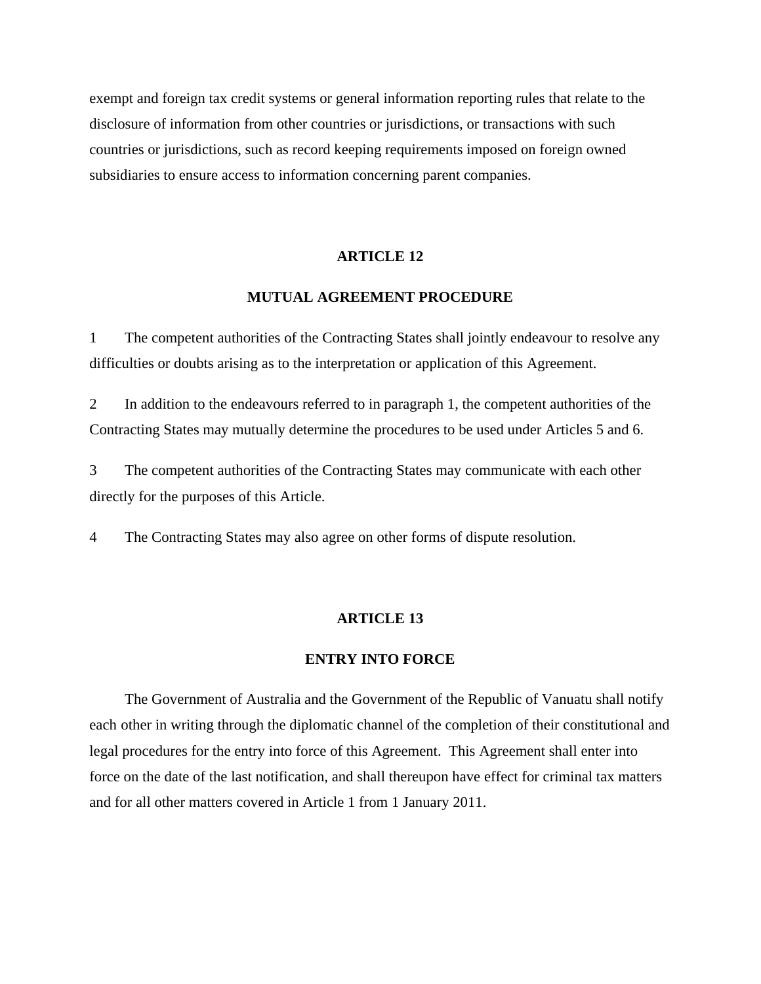exempt and foreign tax credit systems or general information reporting rules that relate to the disclosure of information from other countries or jurisdictions, or transactions with such countries or jurisdictions, such as record keeping requirements imposed on foreign owned subsidiaries to ensure access to information concerning parent companies.

### **ARTICLE 12**

# **MUTUAL AGREEMENT PROCEDURE**

1 The competent authorities of the Contracting States shall jointly endeavour to resolve any difficulties or doubts arising as to the interpretation or application of this Agreement.

2 In addition to the endeavours referred to in paragraph 1, the competent authorities of the Contracting States may mutually determine the procedures to be used under Articles 5 and 6.

3 The competent authorities of the Contracting States may communicate with each other directly for the purposes of this Article.

4 The Contracting States may also agree on other forms of dispute resolution.

### **ARTICLE 13**

# **ENTRY INTO FORCE**

 The Government of Australia and the Government of the Republic of Vanuatu shall notify each other in writing through the diplomatic channel of the completion of their constitutional and legal procedures for the entry into force of this Agreement. This Agreement shall enter into force on the date of the last notification, and shall thereupon have effect for criminal tax matters and for all other matters covered in Article 1 from 1 January 2011.